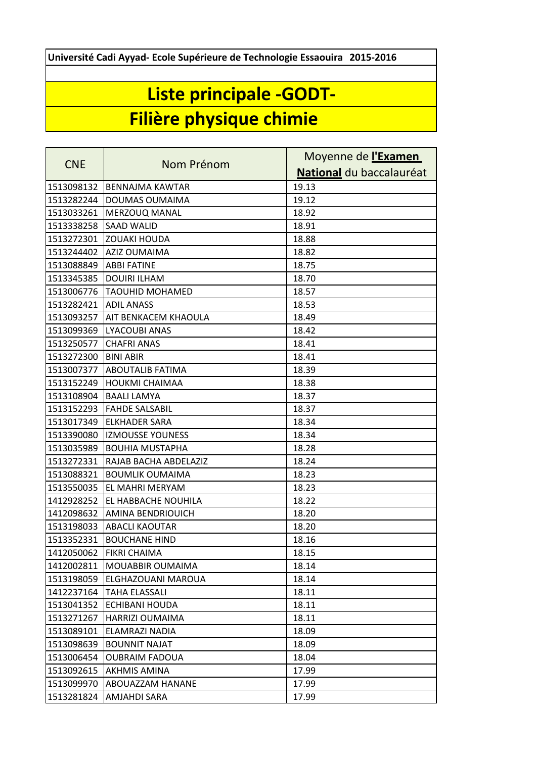**Université Cadi Ayyad- Ecole Supérieure de Technologie Essaouira 2015-2016**

## **Liste principale -GODT-Filière physique chimie**

|            |                         | Moyenne de l'Examen      |  |
|------------|-------------------------|--------------------------|--|
| <b>CNE</b> | Nom Prénom              | National du baccalauréat |  |
| 1513098132 | BENNAJMA KAWTAR         | 19.13                    |  |
| 1513282244 | DOUMAS OUMAIMA          | 19.12                    |  |
| 1513033261 | <b>MERZOUQ MANAL</b>    | 18.92                    |  |
| 1513338258 | <b>SAAD WALID</b>       | 18.91                    |  |
| 1513272301 | <b>ZOUAKI HOUDA</b>     | 18.88                    |  |
| 1513244402 | <b>AZIZ OUMAIMA</b>     | 18.82                    |  |
| 1513088849 | <b>ABBI FATINE</b>      | 18.75                    |  |
| 1513345385 | <b>DOUIRI ILHAM</b>     | 18.70                    |  |
| 1513006776 | <b>TAOUHID MOHAMED</b>  | 18.57                    |  |
| 1513282421 | <b>ADIL ANASS</b>       | 18.53                    |  |
| 1513093257 | AIT BENKACEM KHAOULA    | 18.49                    |  |
| 1513099369 | LYACOUBI ANAS           | 18.42                    |  |
| 1513250577 | <b>CHAFRI ANAS</b>      | 18.41                    |  |
| 1513272300 | <b>BINI ABIR</b>        | 18.41                    |  |
| 1513007377 | <b>ABOUTALIB FATIMA</b> | 18.39                    |  |
| 1513152249 | HOUKMI CHAIMAA          | 18.38                    |  |
| 1513108904 | <b>BAALI LAMYA</b>      | 18.37                    |  |
| 1513152293 | <b>FAHDE SALSABIL</b>   | 18.37                    |  |
| 1513017349 | <b>ELKHADER SARA</b>    | 18.34                    |  |
| 1513390080 | <b>IZMOUSSE YOUNESS</b> | 18.34                    |  |
| 1513035989 | <b>BOUHIA MUSTAPHA</b>  | 18.28                    |  |
| 1513272331 | RAJAB BACHA ABDELAZIZ   | 18.24                    |  |
| 1513088321 | <b>BOUMLIK OUMAIMA</b>  | 18.23                    |  |
| 1513550035 | EL MAHRI MERYAM         | 18.23                    |  |
| 1412928252 | EL HABBACHE NOUHILA     | 18.22                    |  |
| 1412098632 | AMINA BENDRIOUICH       | 18.20                    |  |
| 1513198033 | <b>ABACLI KAOUTAR</b>   | 18.20                    |  |
| 1513352331 | <b>BOUCHANE HIND</b>    | 18.16                    |  |
| 1412050062 | <b>FIKRI CHAIMA</b>     | 18.15                    |  |
| 1412002811 | MOUABBIR OUMAIMA        | 18.14                    |  |
| 1513198059 | ELGHAZOUANI MAROUA      | 18.14                    |  |
| 1412237164 | TAHA ELASSALI           | 18.11                    |  |
| 1513041352 | ECHIBANI HOUDA          | 18.11                    |  |
| 1513271267 | HARRIZI OUMAIMA         | 18.11                    |  |
| 1513089101 | ELAMRAZI NADIA          | 18.09                    |  |
| 1513098639 | <b>BOUNNIT NAJAT</b>    | 18.09                    |  |
| 1513006454 | <b>OUBRAIM FADOUA</b>   | 18.04                    |  |
| 1513092615 | <b>AKHMIS AMINA</b>     | 17.99                    |  |
| 1513099970 | ABOUAZZAM HANANE        | 17.99                    |  |
| 1513281824 | AMJAHDI SARA            | 17.99                    |  |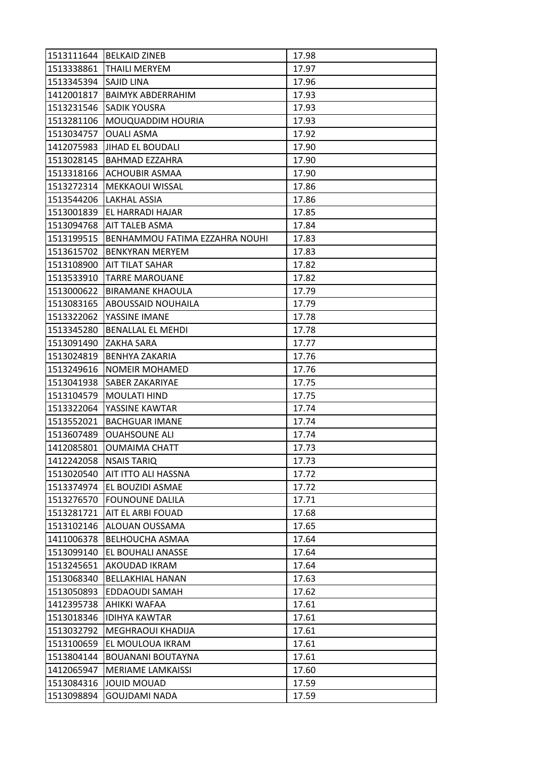|            | 1513111644 BELKAID ZINEB       | 17.98 |
|------------|--------------------------------|-------|
| 1513338861 | <b>THAILI MERYEM</b>           | 17.97 |
| 1513345394 | <b>SAJID LINA</b>              | 17.96 |
| 1412001817 | <b>BAIMYK ABDERRAHIM</b>       | 17.93 |
| 1513231546 | <b>SADIK YOUSRA</b>            | 17.93 |
| 1513281106 | MOUQUADDIM HOURIA              | 17.93 |
| 1513034757 | <b>OUALI ASMA</b>              | 17.92 |
| 1412075983 | <b>JIHAD EL BOUDALI</b>        | 17.90 |
| 1513028145 | <b>BAHMAD EZZAHRA</b>          | 17.90 |
| 1513318166 | <b>ACHOUBIR ASMAA</b>          | 17.90 |
| 1513272314 | MEKKAOUI WISSAL                | 17.86 |
| 1513544206 | <b>LAKHAL ASSIA</b>            | 17.86 |
| 1513001839 | EL HARRADI HAJAR               | 17.85 |
| 1513094768 | <b>AIT TALEB ASMA</b>          | 17.84 |
| 1513199515 | BENHAMMOU FATIMA EZZAHRA NOUHI | 17.83 |
| 1513615702 | <b>BENKYRAN MERYEM</b>         | 17.83 |
| 1513108900 | AIT TILAT SAHAR                | 17.82 |
| 1513533910 | <b>TARRE MAROUANE</b>          | 17.82 |
| 1513000622 | <b>BIRAMANE KHAOULA</b>        | 17.79 |
| 1513083165 | ABOUSSAID NOUHAILA             | 17.79 |
| 1513322062 | YASSINE IMANE                  | 17.78 |
| 1513345280 | <b>BENALLAL EL MEHDI</b>       | 17.78 |
| 1513091490 | <b>ZAKHA SARA</b>              | 17.77 |
| 1513024819 | <b>BENHYA ZAKARIA</b>          | 17.76 |
| 1513249616 | NOMEIR MOHAMED                 | 17.76 |
| 1513041938 | <b>SABER ZAKARIYAE</b>         | 17.75 |
| 1513104579 | MOULATI HIND                   | 17.75 |
| 1513322064 | YASSINE KAWTAR                 | 17.74 |
| 1513552021 | <b>BACHGUAR IMANE</b>          | 17.74 |
| 1513607489 | <b>OUAHSOUNE ALI</b>           | 17.74 |
| 1412085801 | OUMAIMA CHATT                  | 17.73 |
| 1412242058 | <b>NSAIS TARIQ</b>             | 17.73 |
| 1513020540 | AIT ITTO ALI HASSNA            | 17.72 |
| 1513374974 | EL BOUZIDI ASMAE               | 17.72 |
| 1513276570 | <b>FOUNOUNE DALILA</b>         | 17.71 |
| 1513281721 | AIT EL ARBI FOUAD              | 17.68 |
| 1513102146 | ALOUAN OUSSAMA                 | 17.65 |
| 1411006378 | BELHOUCHA ASMAA                | 17.64 |
| 1513099140 | EL BOUHALI ANASSE              | 17.64 |
| 1513245651 | AKOUDAD IKRAM                  | 17.64 |
| 1513068340 | <b>BELLAKHIAL HANAN</b>        | 17.63 |
| 1513050893 | EDDAOUDI SAMAH                 | 17.62 |
| 1412395738 | AHIKKI WAFAA                   | 17.61 |
| 1513018346 | <b>IDIHYA KAWTAR</b>           | 17.61 |
| 1513032792 | MEGHRAOUI KHADIJA              | 17.61 |
| 1513100659 | EL MOULOUA IKRAM               | 17.61 |
| 1513804144 | <b>BOUANANI BOUTAYNA</b>       | 17.61 |
| 1412065947 | <b>MERIAME LAMKAISSI</b>       | 17.60 |
| 1513084316 | <b>JOUID MOUAD</b>             | 17.59 |
| 1513098894 | GOUJDAMI NADA                  | 17.59 |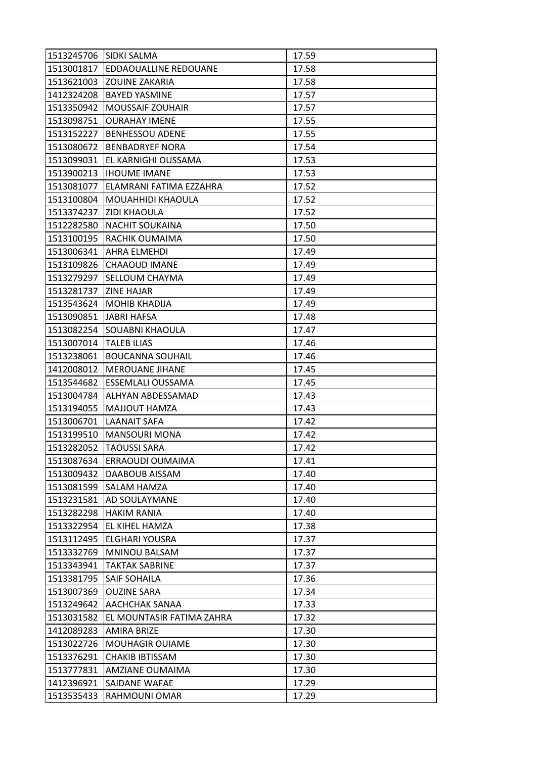| 1513245706 SIDKI SALMA |                           | 17.59 |
|------------------------|---------------------------|-------|
| 1513001817             | EDDAOUALLINE REDOUANE     | 17.58 |
| 1513621003             | <b>ZOUINE ZAKARIA</b>     | 17.58 |
| 1412324208             | <b>BAYED YASMINE</b>      | 17.57 |
| 1513350942             | <b>MOUSSAIF ZOUHAIR</b>   | 17.57 |
| 1513098751             | <b>OURAHAY IMENE</b>      | 17.55 |
| 1513152227             | <b>BENHESSOU ADENE</b>    | 17.55 |
| 1513080672             | <b>BENBADRYEF NORA</b>    | 17.54 |
| 1513099031             | EL KARNIGHI OUSSAMA       | 17.53 |
| 1513900213             | <b>IHOUME IMANE</b>       | 17.53 |
| 1513081077             | ELAMRANI FATIMA EZZAHRA   | 17.52 |
| 1513100804             | MOUAHHIDI KHAOULA         | 17.52 |
| 1513374237             | <b>ZIDI KHAOULA</b>       | 17.52 |
| 1512282580             | <b>NACHIT SOUKAINA</b>    | 17.50 |
| 1513100195             | RACHIK OUMAIMA            | 17.50 |
| 1513006341             | <b>AHRA ELMEHDI</b>       | 17.49 |
| 1513109826             | <b>CHAAOUD IMANE</b>      | 17.49 |
| 1513279297             | <b>SELLOUM CHAYMA</b>     | 17.49 |
| 1513281737             | <b>ZINE HAJAR</b>         | 17.49 |
| 1513543624             | <b>MOHIB KHADIJA</b>      | 17.49 |
| 1513090851 JABRI HAFSA |                           | 17.48 |
| 1513082254             | SOUABNI KHAOULA           | 17.47 |
| 1513007014             | <b>TALEB ILIAS</b>        | 17.46 |
| 1513238061             | <b>BOUCANNA SOUHAIL</b>   | 17.46 |
| 1412008012             | <b>MEROUANE JIHANE</b>    | 17.45 |
| 1513544682             | <b>ESSEMLALI OUSSAMA</b>  | 17.45 |
| 1513004784             | ALHYAN ABDESSAMAD         | 17.43 |
| 1513194055             | <b>MAJJOUT HAMZA</b>      | 17.43 |
| 1513006701             | <b>LAANAIT SAFA</b>       | 17.42 |
| 1513199510             | <b>MANSOURI MONA</b>      | 17.42 |
| 1513282052             | <b>TAOUSSI SARA</b>       | 17.42 |
| 1513087634             | ERRAOUDI OUMAIMA          | 17.41 |
| 1513009432             | DAABOUB AISSAM            | 17.40 |
| 1513081599             | <b>SALAM HAMZA</b>        | 17.40 |
| 1513231581             | AD SOULAYMANE             | 17.40 |
| 1513282298             | HAKIM RANIA               | 17.40 |
| 1513322954             | EL KIHEL HAMZA            | 17.38 |
| 1513112495             | <b>ELGHARI YOUSRA</b>     | 17.37 |
| 1513332769             | <b>MNINOU BALSAM</b>      | 17.37 |
| 1513343941             | <b>TAKTAK SABRINE</b>     | 17.37 |
| 1513381795             | SAIF SOHAILA              | 17.36 |
| 1513007369             | <b>OUZINE SARA</b>        | 17.34 |
| 1513249642             | AACHCHAK SANAA            | 17.33 |
| 1513031582             | EL MOUNTASIR FATIMA ZAHRA | 17.32 |
| 1412089283             | <b>AMIRA BRIZE</b>        | 17.30 |
| 1513022726             | <b>MOUHAGIR OUIAME</b>    | 17.30 |
| 1513376291             | <b>CHAKIB IBTISSAM</b>    | 17.30 |
| 1513777831             | AMZIANE OUMAIMA           | 17.30 |
| 1412396921             | SAIDANE WAFAE             | 17.29 |
| 1513535433             | RAHMOUNI OMAR             | 17.29 |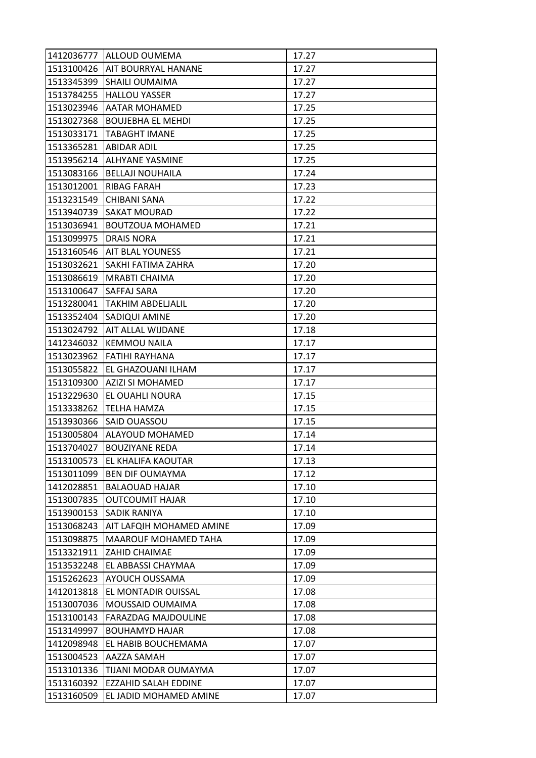|            | 1412036777 ALLOUD OUMEMA       | 17.27 |
|------------|--------------------------------|-------|
|            | 1513100426 AIT BOURRYAL HANANE | 17.27 |
| 1513345399 | <b>SHAILI OUMAIMA</b>          | 17.27 |
| 1513784255 | <b>HALLOU YASSER</b>           | 17.27 |
| 1513023946 | <b>AATAR MOHAMED</b>           | 17.25 |
| 1513027368 | <b>BOUJEBHA EL MEHDI</b>       | 17.25 |
| 1513033171 | <b>TABAGHT IMANE</b>           | 17.25 |
| 1513365281 | <b>ABIDAR ADIL</b>             | 17.25 |
| 1513956214 | <b>ALHYANE YASMINE</b>         | 17.25 |
| 1513083166 | <b>BELLAJI NOUHAILA</b>        | 17.24 |
| 1513012001 | <b>RIBAG FARAH</b>             | 17.23 |
| 1513231549 | <b>CHIBANI SANA</b>            | 17.22 |
| 1513940739 | <b>SAKAT MOURAD</b>            | 17.22 |
| 1513036941 | <b>BOUTZOUA MOHAMED</b>        | 17.21 |
| 1513099975 | <b>DRAIS NORA</b>              | 17.21 |
| 1513160546 | <b>AIT BLAL YOUNESS</b>        | 17.21 |
| 1513032621 | SAKHI FATIMA ZAHRA             | 17.20 |
| 1513086619 | <b>MRABTI CHAIMA</b>           | 17.20 |
| 1513100647 | SAFFAJ SARA                    | 17.20 |
| 1513280041 | <b>TAKHIM ABDELJALIL</b>       | 17.20 |
| 1513352404 | <b>SADIQUI AMINE</b>           | 17.20 |
| 1513024792 | AIT ALLAL WIJDANE              | 17.18 |
| 1412346032 | <b>KEMMOU NAILA</b>            | 17.17 |
| 1513023962 | <b>FATIHI RAYHANA</b>          | 17.17 |
| 1513055822 | EL GHAZOUANI ILHAM             | 17.17 |
| 1513109300 | AZIZI SI MOHAMED               | 17.17 |
| 1513229630 | EL OUAHLI NOURA                | 17.15 |
| 1513338262 | <b>TELHA HAMZA</b>             | 17.15 |
| 1513930366 | SAID OUASSOU                   | 17.15 |
| 1513005804 | ALAYOUD MOHAMED                | 17.14 |
| 1513704027 | <b>BOUZIYANE REDA</b>          | 17.14 |
| 1513100573 | EL KHALIFA KAOUTAR             | 17.13 |
| 1513011099 | <b>BEN DIF OUMAYMA</b>         | 17.12 |
| 1412028851 | <b>BALAOUAD HAJAR</b>          | 17.10 |
| 1513007835 | <b>OUTCOUMIT HAJAR</b>         | 17.10 |
| 1513900153 | <b>SADIK RANIYA</b>            | 17.10 |
| 1513068243 | AIT LAFQIH MOHAMED AMINE       | 17.09 |
| 1513098875 | <b>MAAROUF MOHAMED TAHA</b>    | 17.09 |
| 1513321911 | ZAHID CHAIMAE                  | 17.09 |
| 1513532248 | EL ABBASSI CHAYMAA             | 17.09 |
| 1515262623 | AYOUCH OUSSAMA                 | 17.09 |
| 1412013818 | EL MONTADIR OUISSAL            | 17.08 |
| 1513007036 | MOUSSAID OUMAIMA               | 17.08 |
| 1513100143 | <b>FARAZDAG MAJDOULINE</b>     | 17.08 |
| 1513149997 | <b>BOUHAMYD HAJAR</b>          | 17.08 |
| 1412098948 | EL HABIB BOUCHEMAMA            | 17.07 |
| 1513004523 | AAZZA SAMAH                    | 17.07 |
| 1513101336 | TIJANI MODAR OUMAYMA           | 17.07 |
| 1513160392 | <b>EZZAHID SALAH EDDINE</b>    | 17.07 |
| 1513160509 | EL JADID MOHAMED AMINE         | 17.07 |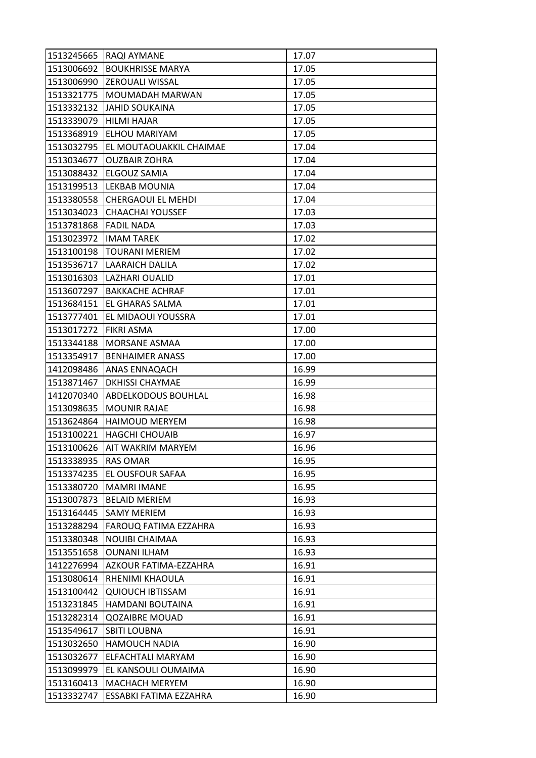| 1513245665 | <b>RAQI AYMANE</b>        | 17.07 |
|------------|---------------------------|-------|
| 1513006692 | <b>BOUKHRISSE MARYA</b>   | 17.05 |
| 1513006990 | ZEROUALI WISSAL           | 17.05 |
| 1513321775 | MOUMADAH MARWAN           | 17.05 |
| 1513332132 | JAHID SOUKAINA            | 17.05 |
| 1513339079 | <b>HILMI HAJAR</b>        | 17.05 |
| 1513368919 | <b>ELHOU MARIYAM</b>      | 17.05 |
| 1513032795 | EL MOUTAOUAKKIL CHAIMAE   | 17.04 |
| 1513034677 | <b>OUZBAIR ZOHRA</b>      | 17.04 |
| 1513088432 | ELGOUZ SAMIA              | 17.04 |
| 1513199513 | LEKBAB MOUNIA             | 17.04 |
| 1513380558 | <b>CHERGAOUI EL MEHDI</b> | 17.04 |
| 1513034023 | <b>CHAACHAI YOUSSEF</b>   | 17.03 |
| 1513781868 | <b>FADIL NADA</b>         | 17.03 |
| 1513023972 | <b>IMAM TAREK</b>         | 17.02 |
| 1513100198 | <b>TOURANI MERIEM</b>     | 17.02 |
| 1513536717 | <b>LAARAICH DALILA</b>    | 17.02 |
| 1513016303 | <b>LAZHARI OUALID</b>     | 17.01 |
| 1513607297 | <b>BAKKACHE ACHRAF</b>    | 17.01 |
| 1513684151 | EL GHARAS SALMA           | 17.01 |
| 1513777401 | EL MIDAOUI YOUSSRA        | 17.01 |
| 1513017272 | FIKRI ASMA                | 17.00 |
| 1513344188 | MORSANE ASMAA             | 17.00 |
| 1513354917 | <b>BENHAIMER ANASS</b>    | 17.00 |
| 1412098486 | ANAS ENNAQACH             | 16.99 |
| 1513871467 | <b>DKHISSI CHAYMAE</b>    | 16.99 |
| 1412070340 | ABDELKODOUS BOUHLAL       | 16.98 |
| 1513098635 | <b>MOUNIR RAJAE</b>       | 16.98 |
| 1513624864 | <b>HAIMOUD MERYEM</b>     | 16.98 |
| 1513100221 | <b>HAGCHI CHOUAIB</b>     | 16.97 |
| 1513100626 | <b>AIT WAKRIM MARYEM</b>  | 16.96 |
| 1513338935 | <b>RAS OMAR</b>           | 16.95 |
| 1513374235 | EL OUSFOUR SAFAA          | 16.95 |
| 1513380720 | <b>MAMRI IMANE</b>        | 16.95 |
| 1513007873 | <b>BELAID MERIEM</b>      | 16.93 |
| 1513164445 | <b>SAMY MERIEM</b>        | 16.93 |
| 1513288294 | FAROUQ FATIMA EZZAHRA     | 16.93 |
| 1513380348 | <b>NOUIBI CHAIMAA</b>     | 16.93 |
| 1513551658 | <b>OUNANI ILHAM</b>       | 16.93 |
| 1412276994 | AZKOUR FATIMA-EZZAHRA     | 16.91 |
| 1513080614 | RHENIMI KHAOULA           | 16.91 |
| 1513100442 | <b>QUIOUCH IBTISSAM</b>   | 16.91 |
| 1513231845 | HAMDANI BOUTAINA          | 16.91 |
| 1513282314 | <b>QOZAIBRE MOUAD</b>     | 16.91 |
| 1513549617 | <b>SBITI LOUBNA</b>       | 16.91 |
| 1513032650 | <b>HAMOUCH NADIA</b>      | 16.90 |
| 1513032677 | ELFACHTALI MARYAM         | 16.90 |
| 1513099979 | EL KANSOULI OUMAIMA       | 16.90 |
| 1513160413 | <b>MACHACH MERYEM</b>     | 16.90 |
| 1513332747 | ESSABKI FATIMA EZZAHRA    | 16.90 |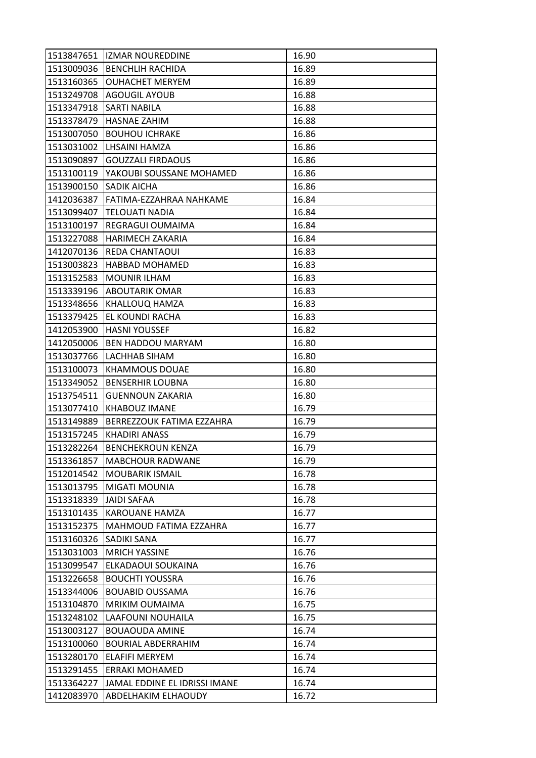|                            | 16.90                                                                                                                                                                                                                                                                                                                                                                                                                                                                                                                                                                                                                                                                                                                                                                                                                                                                                                                                                                                                                                                                                                                                                                                                                                    |
|----------------------------|------------------------------------------------------------------------------------------------------------------------------------------------------------------------------------------------------------------------------------------------------------------------------------------------------------------------------------------------------------------------------------------------------------------------------------------------------------------------------------------------------------------------------------------------------------------------------------------------------------------------------------------------------------------------------------------------------------------------------------------------------------------------------------------------------------------------------------------------------------------------------------------------------------------------------------------------------------------------------------------------------------------------------------------------------------------------------------------------------------------------------------------------------------------------------------------------------------------------------------------|
|                            | 16.89                                                                                                                                                                                                                                                                                                                                                                                                                                                                                                                                                                                                                                                                                                                                                                                                                                                                                                                                                                                                                                                                                                                                                                                                                                    |
|                            | 16.89                                                                                                                                                                                                                                                                                                                                                                                                                                                                                                                                                                                                                                                                                                                                                                                                                                                                                                                                                                                                                                                                                                                                                                                                                                    |
|                            | 16.88                                                                                                                                                                                                                                                                                                                                                                                                                                                                                                                                                                                                                                                                                                                                                                                                                                                                                                                                                                                                                                                                                                                                                                                                                                    |
|                            | 16.88                                                                                                                                                                                                                                                                                                                                                                                                                                                                                                                                                                                                                                                                                                                                                                                                                                                                                                                                                                                                                                                                                                                                                                                                                                    |
|                            | 16.88                                                                                                                                                                                                                                                                                                                                                                                                                                                                                                                                                                                                                                                                                                                                                                                                                                                                                                                                                                                                                                                                                                                                                                                                                                    |
|                            | 16.86                                                                                                                                                                                                                                                                                                                                                                                                                                                                                                                                                                                                                                                                                                                                                                                                                                                                                                                                                                                                                                                                                                                                                                                                                                    |
|                            | 16.86                                                                                                                                                                                                                                                                                                                                                                                                                                                                                                                                                                                                                                                                                                                                                                                                                                                                                                                                                                                                                                                                                                                                                                                                                                    |
|                            | 16.86                                                                                                                                                                                                                                                                                                                                                                                                                                                                                                                                                                                                                                                                                                                                                                                                                                                                                                                                                                                                                                                                                                                                                                                                                                    |
|                            | 16.86                                                                                                                                                                                                                                                                                                                                                                                                                                                                                                                                                                                                                                                                                                                                                                                                                                                                                                                                                                                                                                                                                                                                                                                                                                    |
|                            | 16.86                                                                                                                                                                                                                                                                                                                                                                                                                                                                                                                                                                                                                                                                                                                                                                                                                                                                                                                                                                                                                                                                                                                                                                                                                                    |
|                            | 16.84                                                                                                                                                                                                                                                                                                                                                                                                                                                                                                                                                                                                                                                                                                                                                                                                                                                                                                                                                                                                                                                                                                                                                                                                                                    |
|                            | 16.84                                                                                                                                                                                                                                                                                                                                                                                                                                                                                                                                                                                                                                                                                                                                                                                                                                                                                                                                                                                                                                                                                                                                                                                                                                    |
|                            | 16.84                                                                                                                                                                                                                                                                                                                                                                                                                                                                                                                                                                                                                                                                                                                                                                                                                                                                                                                                                                                                                                                                                                                                                                                                                                    |
|                            | 16.84                                                                                                                                                                                                                                                                                                                                                                                                                                                                                                                                                                                                                                                                                                                                                                                                                                                                                                                                                                                                                                                                                                                                                                                                                                    |
|                            | 16.83                                                                                                                                                                                                                                                                                                                                                                                                                                                                                                                                                                                                                                                                                                                                                                                                                                                                                                                                                                                                                                                                                                                                                                                                                                    |
|                            | 16.83                                                                                                                                                                                                                                                                                                                                                                                                                                                                                                                                                                                                                                                                                                                                                                                                                                                                                                                                                                                                                                                                                                                                                                                                                                    |
|                            | 16.83                                                                                                                                                                                                                                                                                                                                                                                                                                                                                                                                                                                                                                                                                                                                                                                                                                                                                                                                                                                                                                                                                                                                                                                                                                    |
|                            | 16.83                                                                                                                                                                                                                                                                                                                                                                                                                                                                                                                                                                                                                                                                                                                                                                                                                                                                                                                                                                                                                                                                                                                                                                                                                                    |
|                            | 16.83                                                                                                                                                                                                                                                                                                                                                                                                                                                                                                                                                                                                                                                                                                                                                                                                                                                                                                                                                                                                                                                                                                                                                                                                                                    |
|                            | 16.83                                                                                                                                                                                                                                                                                                                                                                                                                                                                                                                                                                                                                                                                                                                                                                                                                                                                                                                                                                                                                                                                                                                                                                                                                                    |
|                            | 16.82                                                                                                                                                                                                                                                                                                                                                                                                                                                                                                                                                                                                                                                                                                                                                                                                                                                                                                                                                                                                                                                                                                                                                                                                                                    |
|                            | 16.80                                                                                                                                                                                                                                                                                                                                                                                                                                                                                                                                                                                                                                                                                                                                                                                                                                                                                                                                                                                                                                                                                                                                                                                                                                    |
|                            | 16.80                                                                                                                                                                                                                                                                                                                                                                                                                                                                                                                                                                                                                                                                                                                                                                                                                                                                                                                                                                                                                                                                                                                                                                                                                                    |
|                            | 16.80                                                                                                                                                                                                                                                                                                                                                                                                                                                                                                                                                                                                                                                                                                                                                                                                                                                                                                                                                                                                                                                                                                                                                                                                                                    |
|                            | 16.80                                                                                                                                                                                                                                                                                                                                                                                                                                                                                                                                                                                                                                                                                                                                                                                                                                                                                                                                                                                                                                                                                                                                                                                                                                    |
|                            | 16.80                                                                                                                                                                                                                                                                                                                                                                                                                                                                                                                                                                                                                                                                                                                                                                                                                                                                                                                                                                                                                                                                                                                                                                                                                                    |
|                            | 16.79                                                                                                                                                                                                                                                                                                                                                                                                                                                                                                                                                                                                                                                                                                                                                                                                                                                                                                                                                                                                                                                                                                                                                                                                                                    |
|                            | 16.79                                                                                                                                                                                                                                                                                                                                                                                                                                                                                                                                                                                                                                                                                                                                                                                                                                                                                                                                                                                                                                                                                                                                                                                                                                    |
|                            | 16.79                                                                                                                                                                                                                                                                                                                                                                                                                                                                                                                                                                                                                                                                                                                                                                                                                                                                                                                                                                                                                                                                                                                                                                                                                                    |
|                            | 16.79                                                                                                                                                                                                                                                                                                                                                                                                                                                                                                                                                                                                                                                                                                                                                                                                                                                                                                                                                                                                                                                                                                                                                                                                                                    |
|                            | 16.79                                                                                                                                                                                                                                                                                                                                                                                                                                                                                                                                                                                                                                                                                                                                                                                                                                                                                                                                                                                                                                                                                                                                                                                                                                    |
|                            | 16.78                                                                                                                                                                                                                                                                                                                                                                                                                                                                                                                                                                                                                                                                                                                                                                                                                                                                                                                                                                                                                                                                                                                                                                                                                                    |
|                            | 16.78                                                                                                                                                                                                                                                                                                                                                                                                                                                                                                                                                                                                                                                                                                                                                                                                                                                                                                                                                                                                                                                                                                                                                                                                                                    |
|                            | 16.78                                                                                                                                                                                                                                                                                                                                                                                                                                                                                                                                                                                                                                                                                                                                                                                                                                                                                                                                                                                                                                                                                                                                                                                                                                    |
|                            | 16.77                                                                                                                                                                                                                                                                                                                                                                                                                                                                                                                                                                                                                                                                                                                                                                                                                                                                                                                                                                                                                                                                                                                                                                                                                                    |
|                            | 16.77                                                                                                                                                                                                                                                                                                                                                                                                                                                                                                                                                                                                                                                                                                                                                                                                                                                                                                                                                                                                                                                                                                                                                                                                                                    |
|                            | 16.77                                                                                                                                                                                                                                                                                                                                                                                                                                                                                                                                                                                                                                                                                                                                                                                                                                                                                                                                                                                                                                                                                                                                                                                                                                    |
|                            | 16.76                                                                                                                                                                                                                                                                                                                                                                                                                                                                                                                                                                                                                                                                                                                                                                                                                                                                                                                                                                                                                                                                                                                                                                                                                                    |
|                            | 16.76                                                                                                                                                                                                                                                                                                                                                                                                                                                                                                                                                                                                                                                                                                                                                                                                                                                                                                                                                                                                                                                                                                                                                                                                                                    |
|                            | 16.76                                                                                                                                                                                                                                                                                                                                                                                                                                                                                                                                                                                                                                                                                                                                                                                                                                                                                                                                                                                                                                                                                                                                                                                                                                    |
|                            | 16.76                                                                                                                                                                                                                                                                                                                                                                                                                                                                                                                                                                                                                                                                                                                                                                                                                                                                                                                                                                                                                                                                                                                                                                                                                                    |
|                            | 16.75                                                                                                                                                                                                                                                                                                                                                                                                                                                                                                                                                                                                                                                                                                                                                                                                                                                                                                                                                                                                                                                                                                                                                                                                                                    |
|                            | 16.75                                                                                                                                                                                                                                                                                                                                                                                                                                                                                                                                                                                                                                                                                                                                                                                                                                                                                                                                                                                                                                                                                                                                                                                                                                    |
|                            | 16.74                                                                                                                                                                                                                                                                                                                                                                                                                                                                                                                                                                                                                                                                                                                                                                                                                                                                                                                                                                                                                                                                                                                                                                                                                                    |
|                            | 16.74                                                                                                                                                                                                                                                                                                                                                                                                                                                                                                                                                                                                                                                                                                                                                                                                                                                                                                                                                                                                                                                                                                                                                                                                                                    |
|                            | 16.74                                                                                                                                                                                                                                                                                                                                                                                                                                                                                                                                                                                                                                                                                                                                                                                                                                                                                                                                                                                                                                                                                                                                                                                                                                    |
|                            | 16.74                                                                                                                                                                                                                                                                                                                                                                                                                                                                                                                                                                                                                                                                                                                                                                                                                                                                                                                                                                                                                                                                                                                                                                                                                                    |
|                            | 16.74                                                                                                                                                                                                                                                                                                                                                                                                                                                                                                                                                                                                                                                                                                                                                                                                                                                                                                                                                                                                                                                                                                                                                                                                                                    |
| <b>ABDELHAKIM ELHAOUDY</b> | 16.72                                                                                                                                                                                                                                                                                                                                                                                                                                                                                                                                                                                                                                                                                                                                                                                                                                                                                                                                                                                                                                                                                                                                                                                                                                    |
|                            | <b>IZMAR NOUREDDINE</b><br><b>BENCHLIH RACHIDA</b><br><b>OUHACHET MERYEM</b><br><b>AGOUGIL AYOUB</b><br><b>SARTI NABILA</b><br>HASNAE ZAHIM<br><b>BOUHOU ICHRAKE</b><br>LHSAINI HAMZA<br><b>GOUZZALI FIRDAOUS</b><br>YAKOUBI SOUSSANE MOHAMED<br><b>SADIK AICHA</b><br>FATIMA-EZZAHRAA NAHKAME<br><b>TELOUATI NADIA</b><br>REGRAGUI OUMAIMA<br><b>HARIMECH ZAKARIA</b><br>REDA CHANTAOUI<br><b>HABBAD MOHAMED</b><br><b>MOUNIR ILHAM</b><br><b>ABOUTARIK OMAR</b><br>KHALLOUQ HAMZA<br><b>EL KOUNDI RACHA</b><br><b>HASNI YOUSSEF</b><br><b>BEN HADDOU MARYAM</b><br>LACHHAB SIHAM<br>KHAMMOUS DOUAE<br><b>BENSERHIR LOUBNA</b><br><b>GUENNOUN ZAKARIA</b><br><b>KHABOUZ IMANE</b><br>BERREZZOUK FATIMA EZZAHRA<br><b>KHADIRI ANASS</b><br><b>BENCHEKROUN KENZA</b><br><b>MABCHOUR RADWANE</b><br><b>MOUBARIK ISMAIL</b><br><b>MIGATI MOUNIA</b><br><b>JAIDI SAFAA</b><br><b>KAROUANE HAMZA</b><br>MAHMOUD FATIMA EZZAHRA<br><b>SADIKI SANA</b><br><b>MRICH YASSINE</b><br>ELKADAOUI SOUKAINA<br><b>BOUCHTI YOUSSRA</b><br><b>BOUABID OUSSAMA</b><br><b>MRIKIM OUMAIMA</b><br>LAAFOUNI NOUHAILA<br><b>BOUAOUDA AMINE</b><br><b>BOURIAL ABDERRAHIM</b><br><b>ELAFIFI MERYEM</b><br><b>ERRAKI MOHAMED</b><br>JAMAL EDDINE EL IDRISSI IMANE |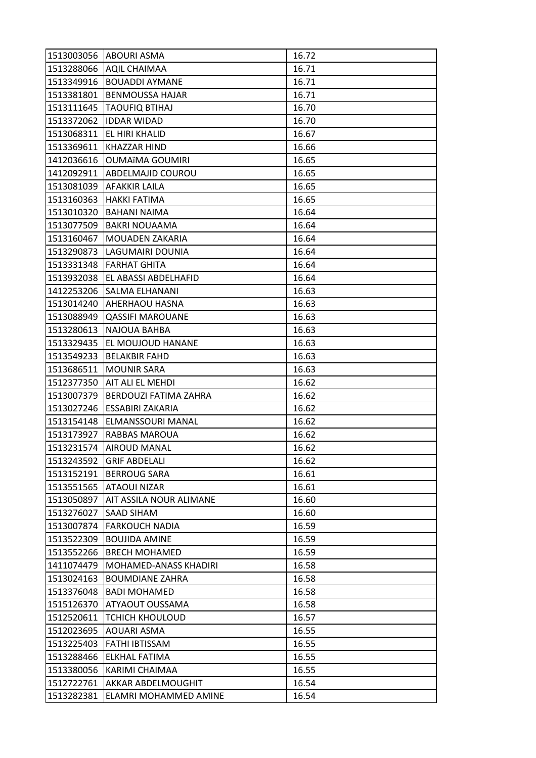|            | 1513003056 ABOURI ASMA       | 16.72 |
|------------|------------------------------|-------|
| 1513288066 | <b>AQIL CHAIMAA</b>          | 16.71 |
| 1513349916 | <b>BOUADDI AYMANE</b>        | 16.71 |
| 1513381801 | <b>BENMOUSSA HAJAR</b>       | 16.71 |
| 1513111645 | <b>TAOUFIQ BTIHAJ</b>        | 16.70 |
| 1513372062 | <b>IDDAR WIDAD</b>           | 16.70 |
| 1513068311 | EL HIRI KHALID               | 16.67 |
| 1513369611 | KHAZZAR HIND                 | 16.66 |
| 1412036616 | <b>OUMAïMA GOUMIRI</b>       | 16.65 |
| 1412092911 | ABDELMAJID COUROU            | 16.65 |
| 1513081039 | AFAKKIR LAILA                | 16.65 |
| 1513160363 | HAKKI FATIMA                 | 16.65 |
| 1513010320 | BAHANI NAIMA                 | 16.64 |
| 1513077509 | <b>BAKRI NOUAAMA</b>         | 16.64 |
| 1513160467 | MOUADEN ZAKARIA              | 16.64 |
| 1513290873 | LAGUMAIRI DOUNIA             | 16.64 |
| 1513331348 | <b>FARHAT GHITA</b>          | 16.64 |
| 1513932038 | EL ABASSI ABDELHAFID         | 16.64 |
| 1412253206 | SALMA ELHANANI               | 16.63 |
| 1513014240 | AHERHAOU HASNA               | 16.63 |
| 1513088949 | <b>QASSIFI MAROUANE</b>      | 16.63 |
| 1513280613 | NAJOUA BAHBA                 | 16.63 |
| 1513329435 | EL MOUJOUD HANANE            | 16.63 |
| 1513549233 | <b>BELAKBIR FAHD</b>         | 16.63 |
| 1513686511 | <b>MOUNIR SARA</b>           | 16.63 |
| 1512377350 | AIT ALI EL MEHDI             | 16.62 |
| 1513007379 | <b>BERDOUZI FATIMA ZAHRA</b> | 16.62 |
| 1513027246 | <b>ESSABIRI ZAKARIA</b>      | 16.62 |
| 1513154148 | ELMANSSOURI MANAL            | 16.62 |
| 1513173927 | RABBAS MAROUA                | 16.62 |
| 1513231574 | AIROUD MANAL                 | 16.62 |
| 1513243592 | <b>GRIF ABDELALI</b>         | 16.62 |
| 1513152191 | <b>BERROUG SARA</b>          | 16.61 |
| 1513551565 | <b>ATAOUI NIZAR</b>          | 16.61 |
| 1513050897 | AIT ASSILA NOUR ALIMANE      | 16.60 |
| 1513276027 | <b>SAAD SIHAM</b>            | 16.60 |
| 1513007874 | <b>FARKOUCH NADIA</b>        | 16.59 |
| 1513522309 | <b>BOUJIDA AMINE</b>         | 16.59 |
| 1513552266 | <b>BRECH MOHAMED</b>         | 16.59 |
| 1411074479 | MOHAMED-ANASS KHADIRI        | 16.58 |
| 1513024163 | <b>BOUMDIANE ZAHRA</b>       | 16.58 |
| 1513376048 | <b>BADI MOHAMED</b>          | 16.58 |
| 1515126370 | ATYAOUT OUSSAMA              | 16.58 |
| 1512520611 | TCHICH KHOULOUD              | 16.57 |
| 1512023695 | AOUARI ASMA                  | 16.55 |
| 1513225403 | FATHI IBTISSAM               | 16.55 |
| 1513288466 | ELKHAL FATIMA                | 16.55 |
| 1513380056 | KARIMI CHAIMAA               | 16.55 |
| 1512722761 | AKKAR ABDELMOUGHIT           | 16.54 |
| 1513282381 | ELAMRI MOHAMMED AMINE        | 16.54 |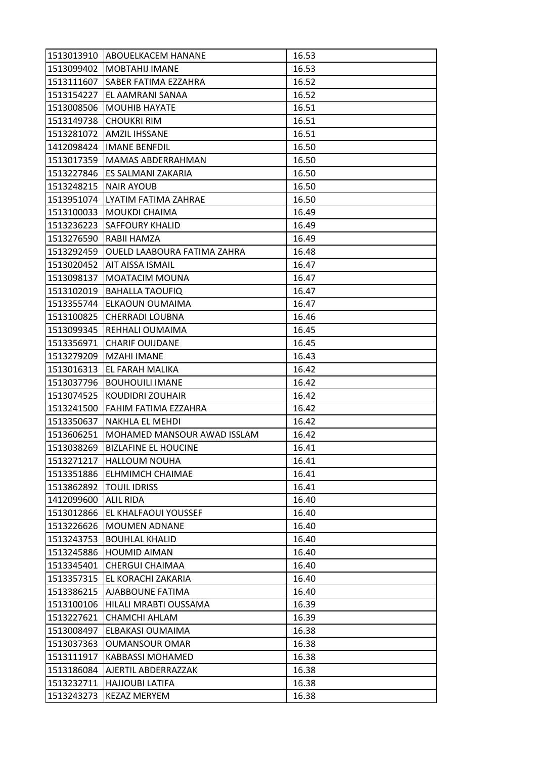|            | 1513013910 ABOUELKACEM HANANE | 16.53 |
|------------|-------------------------------|-------|
|            | 1513099402   MOBTAHIJ IMANE   | 16.53 |
| 1513111607 | SABER FATIMA EZZAHRA          | 16.52 |
| 1513154227 | EL AAMRANI SANAA              | 16.52 |
| 1513008506 | <b>MOUHIB HAYATE</b>          | 16.51 |
| 1513149738 | <b>CHOUKRI RIM</b>            | 16.51 |
|            | 1513281072 AMZIL IHSSANE      | 16.51 |
| 1412098424 | <b>IMANE BENFDIL</b>          | 16.50 |
| 1513017359 | <b>MAMAS ABDERRAHMAN</b>      | 16.50 |
| 1513227846 | <b>ES SALMANI ZAKARIA</b>     | 16.50 |
| 1513248215 | <b>NAIR AYOUB</b>             | 16.50 |
| 1513951074 | LYATIM FATIMA ZAHRAE          | 16.50 |
| 1513100033 | MOUKDI CHAIMA                 | 16.49 |
| 1513236223 | <b>SAFFOURY KHALID</b>        | 16.49 |
| 1513276590 | RABII HAMZA                   | 16.49 |
| 1513292459 | OUELD LAABOURA FATIMA ZAHRA   | 16.48 |
| 1513020452 | AIT AISSA ISMAIL              | 16.47 |
| 1513098137 | MOATACIM MOUNA                | 16.47 |
| 1513102019 | <b>BAHALLA TAOUFIQ</b>        | 16.47 |
| 1513355744 | ELKAOUN OUMAIMA               | 16.47 |
| 1513100825 | <b>CHERRADI LOUBNA</b>        | 16.46 |
| 1513099345 | REHHALI OUMAIMA               | 16.45 |
| 1513356971 | <b>CHARIF OUIJDANE</b>        | 16.45 |
| 1513279209 | <b>MZAHI IMANE</b>            | 16.43 |
| 1513016313 | EL FARAH MALIKA               | 16.42 |
| 1513037796 | <b>BOUHOUILI IMANE</b>        | 16.42 |
| 1513074525 | <b>KOUDIDRI ZOUHAIR</b>       | 16.42 |
| 1513241500 | FAHIM FATIMA EZZAHRA          | 16.42 |
| 1513350637 | <b>NAKHLA EL MEHDI</b>        | 16.42 |
| 1513606251 | MOHAMED MANSOUR AWAD ISSLAM   | 16.42 |
| 1513038269 | <b>BIZLAFINE EL HOUCINE</b>   | 16.41 |
| 1513271217 | <b>HALLOUM NOUHA</b>          | 16.41 |
| 1513351886 | <b>ELHMIMCH CHAIMAE</b>       | 16.41 |
| 1513862892 | <b>TOUIL IDRISS</b>           | 16.41 |
| 1412099600 | <b>ALIL RIDA</b>              | 16.40 |
| 1513012866 | EL KHALFAOUI YOUSSEF          | 16.40 |
| 1513226626 | <b>MOUMEN ADNANE</b>          | 16.40 |
| 1513243753 | <b>BOUHLAL KHALID</b>         | 16.40 |
| 1513245886 | <b>HOUMID AIMAN</b>           | 16.40 |
| 1513345401 | <b>CHERGUI CHAIMAA</b>        | 16.40 |
| 1513357315 | EL KORACHI ZAKARIA            | 16.40 |
| 1513386215 | <b>AJABBOUNE FATIMA</b>       | 16.40 |
| 1513100106 | HILALI MRABTI OUSSAMA         | 16.39 |
| 1513227621 | CHAMCHI AHLAM                 | 16.39 |
| 1513008497 | ELBAKASI OUMAIMA              | 16.38 |
| 1513037363 | <b>OUMANSOUR OMAR</b>         | 16.38 |
| 1513111917 | <b>KABBASSI MOHAMED</b>       | 16.38 |
| 1513186084 | AJERTIL ABDERRAZZAK           | 16.38 |
| 1513232711 | <b>HAJJOUBI LATIFA</b>        | 16.38 |
| 1513243273 | <b>KEZAZ MERYEM</b>           | 16.38 |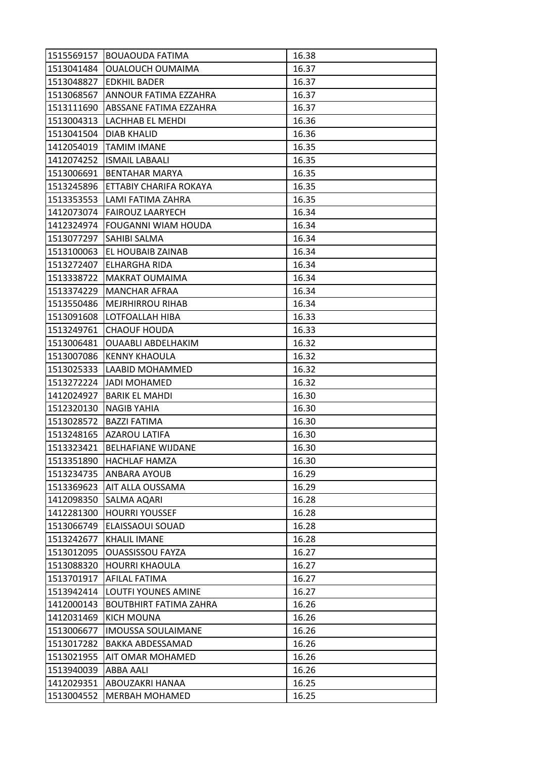| 1515569157 | <b>BOUAOUDA FATIMA</b>        | 16.38 |
|------------|-------------------------------|-------|
| 1513041484 | <b>OUALOUCH OUMAIMA</b>       | 16.37 |
| 1513048827 | <b>EDKHIL BADER</b>           | 16.37 |
| 1513068567 | ANNOUR FATIMA EZZAHRA         | 16.37 |
| 1513111690 | ABSSANE FATIMA EZZAHRA        | 16.37 |
| 1513004313 | LACHHAB EL MEHDI              | 16.36 |
| 1513041504 | <b>DIAB KHALID</b>            | 16.36 |
| 1412054019 | <b>TAMIM IMANE</b>            | 16.35 |
| 1412074252 | <b>ISMAIL LABAALI</b>         | 16.35 |
| 1513006691 | <b>BENTAHAR MARYA</b>         | 16.35 |
| 1513245896 | ETTABIY CHARIFA ROKAYA        | 16.35 |
| 1513353553 | LAMI FATIMA ZAHRA             | 16.35 |
| 1412073074 | <b>FAIROUZ LAARYECH</b>       | 16.34 |
| 1412324974 | <b>FOUGANNI WIAM HOUDA</b>    | 16.34 |
| 1513077297 | SAHIBI SALMA                  | 16.34 |
| 1513100063 | EL HOUBAIB ZAINAB             | 16.34 |
| 1513272407 | ELHARGHA RIDA                 | 16.34 |
| 1513338722 | <b>MAKRAT OUMAIMA</b>         | 16.34 |
| 1513374229 | <b>MANCHAR AFRAA</b>          | 16.34 |
| 1513550486 | <b>MEJRHIRROU RIHAB</b>       | 16.34 |
| 1513091608 | LOTFOALLAH HIBA               | 16.33 |
| 1513249761 | <b>CHAOUF HOUDA</b>           | 16.33 |
| 1513006481 | <b>OUAABLI ABDELHAKIM</b>     | 16.32 |
| 1513007086 | <b>KENNY KHAOULA</b>          | 16.32 |
| 1513025333 | LAABID MOHAMMED               | 16.32 |
| 1513272224 | JADI MOHAMED                  | 16.32 |
| 1412024927 | <b>BARIK EL MAHDI</b>         | 16.30 |
| 1512320130 | <b>NAGIB YAHIA</b>            | 16.30 |
| 1513028572 | <b>BAZZI FATIMA</b>           | 16.30 |
| 1513248165 | <b>AZAROU LATIFA</b>          | 16.30 |
| 1513323421 | <b>BELHAFIANE WIJDANE</b>     | 16.30 |
| 1513351890 | <b>HACHLAF HAMZA</b>          | 16.30 |
| 1513234735 | <b>ANBARA AYOUB</b>           | 16.29 |
| 1513369623 | AIT ALLA OUSSAMA              | 16.29 |
| 1412098350 | <b>SALMA AQARI</b>            | 16.28 |
| 1412281300 | <b>HOURRI YOUSSEF</b>         | 16.28 |
| 1513066749 | ELAISSAOUI SOUAD              | 16.28 |
| 1513242677 | <b>KHALIL IMANE</b>           | 16.28 |
| 1513012095 | <b>OUASSISSOU FAYZA</b>       | 16.27 |
| 1513088320 | <b>HOURRI KHAOULA</b>         | 16.27 |
| 1513701917 | <b>AFILAL FATIMA</b>          | 16.27 |
| 1513942414 | LOUTFI YOUNES AMINE           | 16.27 |
| 1412000143 | <b>BOUTBHIRT FATIMA ZAHRA</b> | 16.26 |
| 1412031469 | KICH MOUNA                    | 16.26 |
| 1513006677 | <b>IMOUSSA SOULAIMANE</b>     | 16.26 |
| 1513017282 | BAKKA ABDESSAMAD              | 16.26 |
| 1513021955 | AIT OMAR MOHAMED              | 16.26 |
| 1513940039 | ABBA AALI                     | 16.26 |
| 1412029351 | ABOUZAKRI HANAA               | 16.25 |
| 1513004552 | MERBAH MOHAMED                | 16.25 |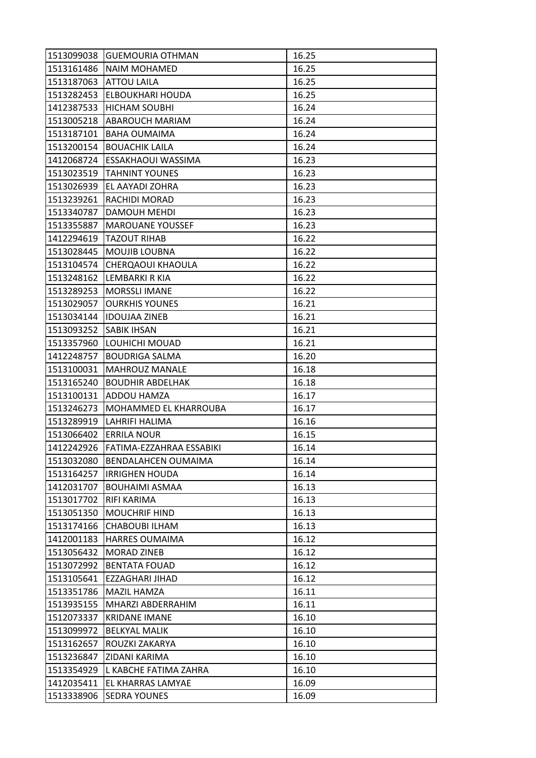| 1513099038 | <b>GUEMOURIA OTHMAN</b>    | 16.25 |
|------------|----------------------------|-------|
|            | 1513161486 NAIM MOHAMED    | 16.25 |
| 1513187063 | <b>ATTOU LAILA</b>         | 16.25 |
| 1513282453 | ELBOUKHARI HOUDA           | 16.25 |
| 1412387533 | <b>HICHAM SOUBHI</b>       | 16.24 |
| 1513005218 | <b>ABAROUCH MARIAM</b>     | 16.24 |
| 1513187101 | <b>BAHA OUMAIMA</b>        | 16.24 |
| 1513200154 | <b>BOUACHIK LAILA</b>      | 16.24 |
| 1412068724 | ESSAKHAOUI WASSIMA         | 16.23 |
| 1513023519 | <b>TAHNINT YOUNES</b>      | 16.23 |
| 1513026939 | EL AAYADI ZOHRA            | 16.23 |
| 1513239261 | RACHIDI MORAD              | 16.23 |
| 1513340787 | DAMOUH MEHDI               | 16.23 |
| 1513355887 | <b>MAROUANE YOUSSEF</b>    | 16.23 |
| 1412294619 | <b>TAZOUT RIHAB</b>        | 16.22 |
| 1513028445 | <b>MOUJIB LOUBNA</b>       | 16.22 |
| 1513104574 | CHERQAOUI KHAOULA          | 16.22 |
| 1513248162 | LEMBARKI R KIA             | 16.22 |
| 1513289253 | <b>MORSSLI IMANE</b>       | 16.22 |
| 1513029057 | <b>OURKHIS YOUNES</b>      | 16.21 |
| 1513034144 | <b>IDOUJAA ZINEB</b>       | 16.21 |
| 1513093252 | SABIK IHSAN                | 16.21 |
| 1513357960 | LOUHICHI MOUAD             | 16.21 |
| 1412248757 | <b>BOUDRIGA SALMA</b>      | 16.20 |
| 1513100031 | <b>MAHROUZ MANALE</b>      | 16.18 |
| 1513165240 | <b>BOUDHIR ABDELHAK</b>    | 16.18 |
| 1513100131 | ADDOU HAMZA                | 16.17 |
| 1513246273 | MOHAMMED EL KHARROUBA      | 16.17 |
| 1513289919 | <b>LAHRIFI HALIMA</b>      | 16.16 |
| 1513066402 | <b>ERRILA NOUR</b>         | 16.15 |
| 1412242926 | FATIMA-EZZAHRAA ESSABIKI   | 16.14 |
| 1513032080 | <b>BENDALAHCEN OUMAIMA</b> | 16.14 |
| 1513164257 | <b>IRRIGHEN HOUDA</b>      | 16.14 |
| 1412031707 | <b>BOUHAIMI ASMAA</b>      | 16.13 |
| 1513017702 | RIFI KARIMA                | 16.13 |
| 1513051350 | <b>MOUCHRIF HIND</b>       | 16.13 |
| 1513174166 | CHABOUBI ILHAM             | 16.13 |
| 1412001183 | <b>HARRES OUMAIMA</b>      | 16.12 |
| 1513056432 | <b>MORAD ZINEB</b>         | 16.12 |
| 1513072992 | <b>BENTATA FOUAD</b>       | 16.12 |
| 1513105641 | EZZAGHARI JIHAD            | 16.12 |
| 1513351786 | MAZIL HAMZA                | 16.11 |
| 1513935155 | MHARZI ABDERRAHIM          | 16.11 |
| 1512073337 | <b>KRIDANE IMANE</b>       | 16.10 |
| 1513099972 | <b>BELKYAL MALIK</b>       | 16.10 |
| 1513162657 | ROUZKI ZAKARYA             | 16.10 |
| 1513236847 | ZIDANI KARIMA              | 16.10 |
| 1513354929 | L KABCHE FATIMA ZAHRA      | 16.10 |
| 1412035411 | EL KHARRAS LAMYAE          | 16.09 |
| 1513338906 | <b>SEDRA YOUNES</b>        | 16.09 |